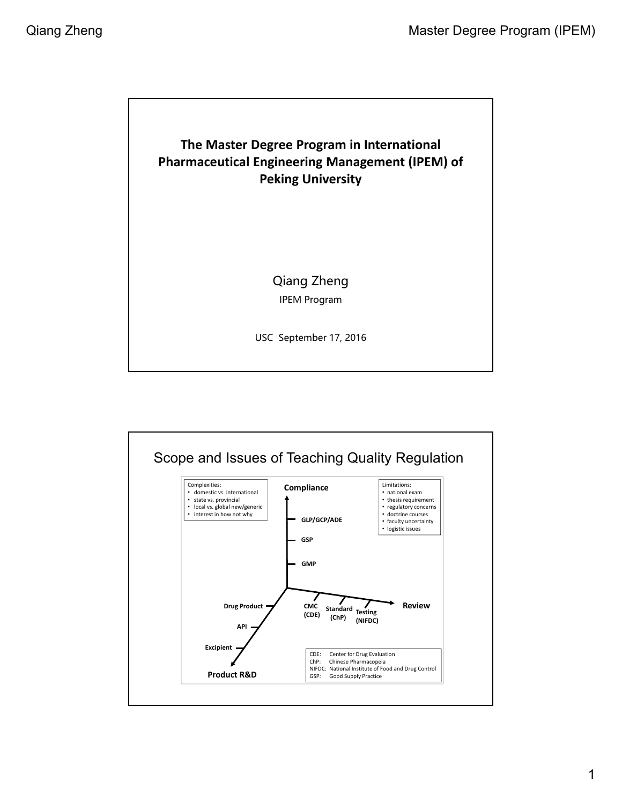

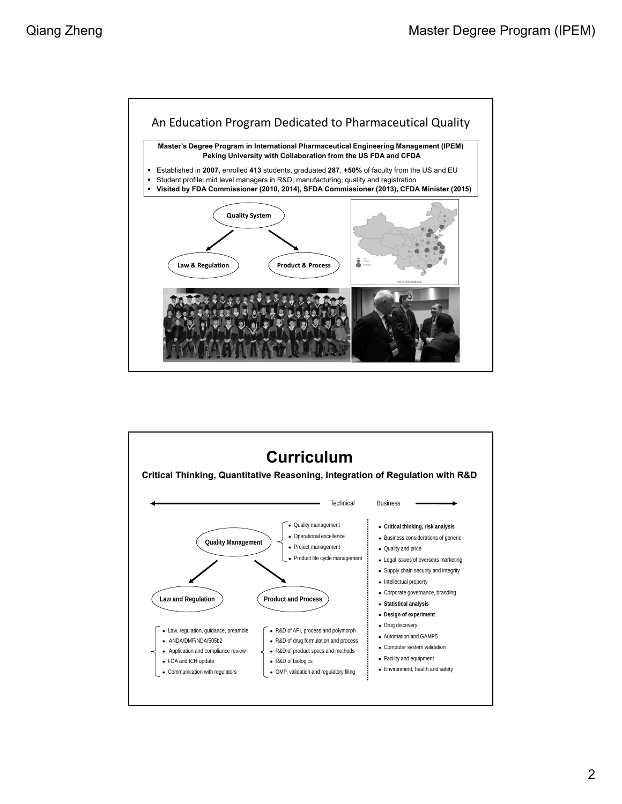